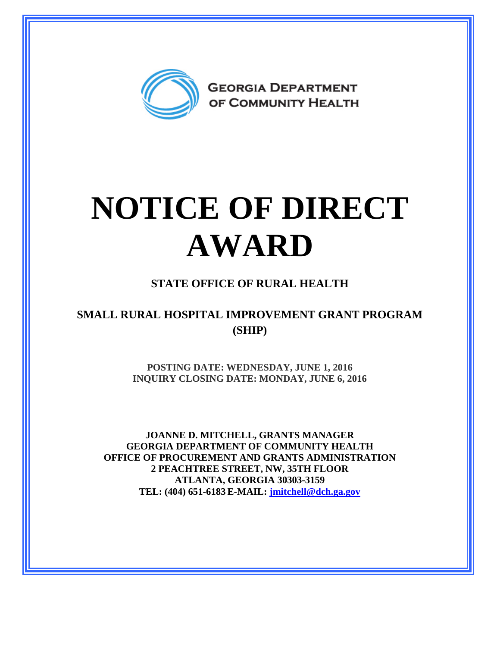

## **NOTICE OF DIRECT AWARD**

## **STATE OFFICE OF RURAL HEALTH**

## **SMALL RURAL HOSPITAL IMPROVEMENT GRANT PROGRAM (SHIP)**

**POSTING DATE: WEDNESDAY, JUNE 1, 2016 INQUIRY CLOSING DATE: MONDAY, JUNE 6, 2016** 

**JOANNE D. MITCHELL, GRANTS MANAGER GEORGIA DEPARTMENT OF COMMUNITY HEALTH OFFICE OF PROCUREMENT AND GRANTS ADMINISTRATION 2 PEACHTREE STREET, NW, 35TH FLOOR ATLANTA, GEORGIA 30303-3159 TEL: (404) 651-6183 E-MAIL: [jmitchell@dch.ga.gov](mailto:awatson@dch.ga.gov)**